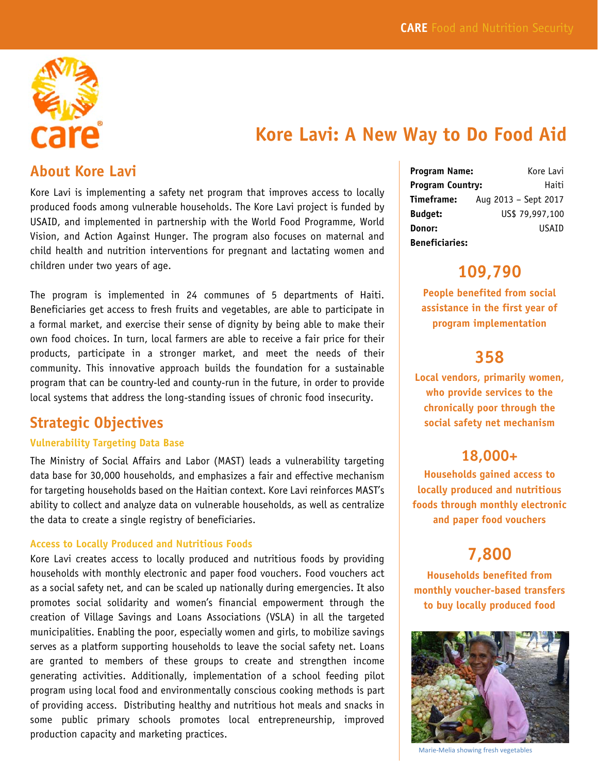

# **Kore Lavi: A New Way to Do Food Aid**

### **About Kore Lavi**

Kore Lavi is implementing a safety net program that improves access to locally produced foods among vulnerable households. The Kore Lavi project is funded by USAID, and implemented in partnership with the World Food Programme, World Vision, and Action Against Hunger. The program also focuses on maternal and child health and nutrition interventions for pregnant and lactating women and children under two years of age.

The program is implemented in 24 communes of 5 departments of Haiti. Beneficiaries get access to fresh fruits and vegetables, are able to participate in a formal market, and exercise their sense of dignity by being able to make their own food choices. In turn, local farmers are able to receive a fair price for their products, participate in a stronger market, and meet the needs of their community. This innovative approach builds the foundation for a sustainable program that can be country-led and county-run in the future, in order to provide local systems that address the long-standing issues of chronic food insecurity.

## **Strategic Objectives**

#### **Vulnerability Targeting Data Base**

The Ministry of Social Affairs and Labor (MAST) leads a vulnerability targeting data base for 30,000 households, and emphasizes a fair and effective mechanism for targeting households based on the Haitian context. Kore Lavi reinforces MAST's ability to collect and analyze data on vulnerable households, as well as centralize the data to create a single registry of beneficiaries.

#### **Access to Locally Produced and Nutritious Foods**

Kore Lavi creates access to locally produced and nutritious foods by providing households with monthly electronic and paper food vouchers. Food vouchers act as a social safety net, and can be scaled up nationally during emergencies. It also promotes social solidarity and women's financial empowerment through the creation of Village Savings and Loans Associations (VSLA) in all the targeted municipalities. Enabling the poor, especially women and girls, to mobilize savings serves as a platform supporting households to leave the social safety net. Loans are granted to members of these groups to create and strengthen income generating activities. Additionally, implementation of a school feeding pilot program using local food and environmentally conscious cooking methods is part of providing access. Distributing healthy and nutritious hot meals and snacks in some public primary schools promotes local entrepreneurship, improved production capacity and marketing practices.

| <b>Program Name:</b>    | Kore Lavi            |
|-------------------------|----------------------|
| <b>Program Country:</b> | Haiti                |
| Timeframe:              | Aug 2013 - Sept 2017 |
| <b>Budget:</b>          | US\$ 79,997,100      |
| Donor:                  | USATD                |
| <b>Beneficiaries:</b>   |                      |

## **109,790**

**People benefited from social assistance in the first year of program implementation** 

## **358**

**Local vendors, primarily women, who provide services to the chronically poor through the social safety net mechanism** 

## **18,000+**

**Households gained access to locally produced and nutritious foods through monthly electronic and paper food vouchers** 

# **7,800**

**Households benefited from monthly voucher-based transfers to buy locally produced food** 



Marie‐Melia showing fresh vegetables